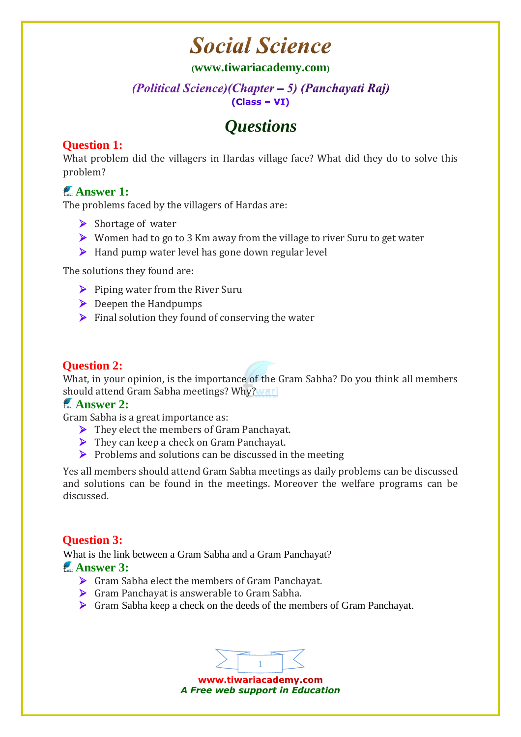# **Social Science**

### **([www.tiwariacademy.com](http://www.tiwariacademy.com/))**

### (Political Science) (Chapter – 5) (Panchayati Raj)  $(Class - VI)$

# *Questions*

# **Question 1:**

What problem did the villagers in Hardas village face? What did they do to solve this problem?

# **Answer 1:**

The problems faced by the villagers of Hardas are:

- $\triangleright$  Shortage of water
- ▶ Women had to go to 3 Km away from the village to river Suru to get water
- $\triangleright$  Hand pump water level has gone down regular level

The solutions they found are:

- $\triangleright$  Piping water from the River Suru
- $\triangleright$  Deepen the Handpumps
- $\triangleright$  Final solution they found of conserving the water

# **Question 2:**

What, in your opinion, is the importance of the Gram Sabha? Do you think all members should attend Gram Sabha meetings? Why? Wari

## **Answer 2:**

Gram Sabha is a great importance as:

- They elect the members of Gram Panchayat.
- ▶ They can keep a check on Gram Panchayat.
- $\triangleright$  Problems and solutions can be discussed in the meeting

Yes all members should attend Gram Sabha meetings as daily problems can be discussed and solutions can be found in the meetings. Moreover the welfare programs can be discussed.

## **Question 3:**

What is the link between a Gram Sabha and a Gram Panchayat?

### **Answer 3:**

- Gram Sabha elect the members of Gram Panchayat.
- Gram Panchayat is answerable to Gram Sabha.
- Gram Sabha keep a check on the deeds of the members of Gram Panchayat.

1 www.tiwariacademy.com *A Free web support in Education*